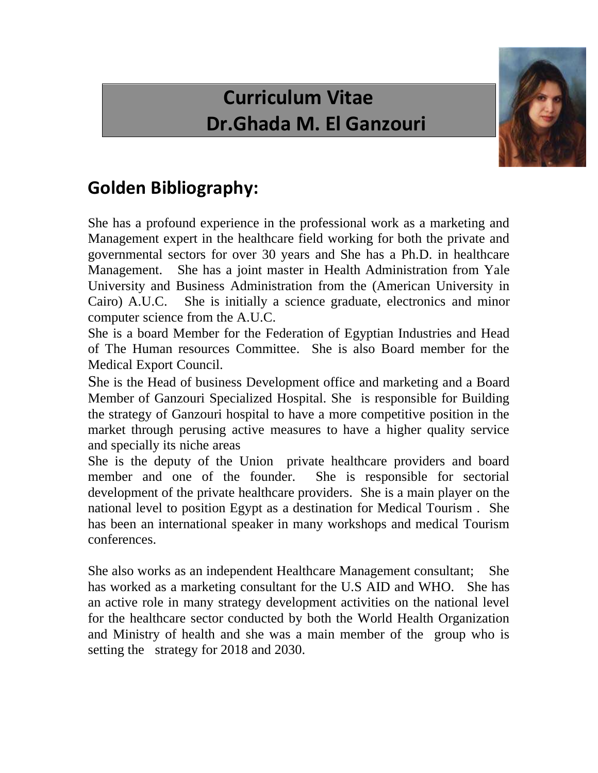## **Curriculum Vitae Dr.Ghada M. El Ganzouri**



## **Golden Bibliography:**

She has a profound experience in the professional work as a marketing and Management expert in the healthcare field working for both the private and governmental sectors for over 30 years and She has a Ph.D. in healthcare Management. She has a joint master in Health Administration from Yale University and Business Administration from the (American University in Cairo) A.U.C. She is initially a science graduate, electronics and minor computer science from the A.U.C.

She is a board Member for the Federation of Egyptian Industries and Head of The Human resources Committee. She is also Board member for the Medical Export Council.

She is the Head of business Development office and marketing and a Board Member of Ganzouri Specialized Hospital. She is responsible for Building the strategy of Ganzouri hospital to have a more competitive position in the market through perusing active measures to have a higher quality service and specially its niche areas

She is the deputy of the Union private healthcare providers and board member and one of the founder. She is responsible for sectorial development of the private healthcare providers. She is a main player on the national level to position Egypt as a destination for Medical Tourism . She has been an international speaker in many workshops and medical Tourism conferences.

She also works as an independent Healthcare Management consultant; She has worked as a marketing consultant for the U.S AID and WHO. She has an active role in many strategy development activities on the national level for the healthcare sector conducted by both the World Health Organization and Ministry of health and she was a main member of the group who is setting the strategy for 2018 and 2030.